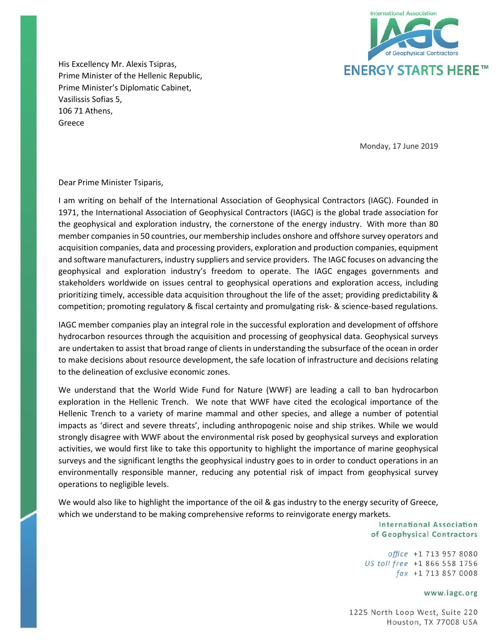

His Excellency Mr. Alexis Tsipras, Prime Minister of the Hellenic Republic, Prime Minister's Diplomatic Cabinet, Vasilissis Sofias 5, 106 71 Athens, Greece

Monday, 17 June 2019

Dear Prime Minister Tsiparis,

I am writing on behalf of the International Association of Geophysical Contractors (IAGC). Founded in 1971, the International Association of Geophysical Contractors (IAGC) is the global trade association for the geophysical and exploration industry, the cornerstone of the energy industry. With more than 80 member companies in 50 countries, our membership includes onshore and offshore survey operators and acquisition companies, data and processing providers, exploration and production companies, equipment and software manufacturers, industry suppliers and service providers. The IAGC focuses on advancing the geophysical and exploration industry's freedom to operate. The IAGC engages governments and stakeholders worldwide on issues central to geophysical operations and exploration access, including prioritizing timely, accessible data acquisition throughout the life of the asset; providing predictability & competition; promoting regulatory & fiscal certainty and promulgating risk- & science-based regulations.

IAGC member companies play an integral role in the successful exploration and development of offshore hydrocarbon resources through the acquisition and processing of geophysical data. Geophysical surveys are undertaken to assist that broad range of clients in understanding the subsurface of the ocean in order to make decisions about resource development, the safe location of infrastructure and decisions relating to the delineation of exclusive economic zones.

We understand that the World Wide Fund for Nature (WWF) are leading a call to ban hydrocarbon exploration in the Hellenic Trench. We note that WWF have cited the ecological importance of the Hellenic Trench to a variety of marine mammal and other species, and allege a number of potential impacts as 'direct and severe threats', including anthropogenic noise and ship strikes. While we would strongly disagree with WWF about the environmental risk posed by geophysical surveys and exploration activities, we would first like to take this opportunity to highlight the importance of marine geophysical surveys and the significant lengths the geophysical industry goes to in order to conduct operations in an environmentally responsible manner, reducing any potential risk of impact from geophysical survey operations to negligible levels.

We would also like to highlight the importance of the oil & gas industry to the energy security of Greece, which we understand to be making comprehensive reforms to reinvigorate energy markets.

> **International Association** of Geophysical Contractors

office +1 713 957 8080 US toll free +1 866 558 1756 fax +1 713 857 0008

#### www.iagc.org

1225 North Loop West, Suite 220 Houston, TX 77008 USA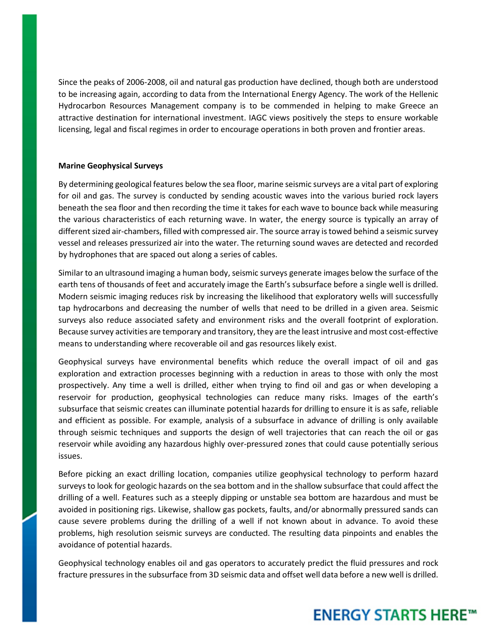Since the peaks of 2006-2008, oil and natural gas production have declined, though both are understood to be increasing again, according to data from the International Energy Agency. The work of the Hellenic Hydrocarbon Resources Management company is to be commended in helping to make Greece an attractive destination for international investment. IAGC views positively the steps to ensure workable licensing, legal and fiscal regimes in order to encourage operations in both proven and frontier areas.

### **Marine Geophysical Surveys**

By determining geological features below the sea floor, marine seismic surveys are a vital part of exploring for oil and gas. The survey is conducted by sending acoustic waves into the various buried rock layers beneath the sea floor and then recording the time it takes for each wave to bounce back while measuring the various characteristics of each returning wave. In water, the energy source is typically an array of different sized air-chambers, filled with compressed air. The source array is towed behind a seismic survey vessel and releases pressurized air into the water. The returning sound waves are detected and recorded by hydrophones that are spaced out along a series of cables.

Similar to an ultrasound imaging a human body, seismic surveys generate images below the surface of the earth tens of thousands of feet and accurately image the Earth's subsurface before a single well is drilled. Modern seismic imaging reduces risk by increasing the likelihood that exploratory wells will successfully tap hydrocarbons and decreasing the number of wells that need to be drilled in a given area. Seismic surveys also reduce associated safety and environment risks and the overall footprint of exploration. Because survey activities are temporary and transitory, they are the least intrusive and most cost-effective means to understanding where recoverable oil and gas resources likely exist.

Geophysical surveys have environmental benefits which reduce the overall impact of oil and gas exploration and extraction processes beginning with a reduction in areas to those with only the most prospectively. Any time a well is drilled, either when trying to find oil and gas or when developing a reservoir for production, geophysical technologies can reduce many risks. Images of the earth's subsurface that seismic creates can illuminate potential hazards for drilling to ensure it is as safe, reliable and efficient as possible. For example, analysis of a subsurface in advance of drilling is only available through seismic techniques and supports the design of well trajectories that can reach the oil or gas reservoir while avoiding any hazardous highly over-pressured zones that could cause potentially serious issues.

Before picking an exact drilling location, companies utilize geophysical technology to perform hazard surveys to look for geologic hazards on the sea bottom and in the shallow subsurface that could affect the drilling of a well. Features such as a steeply dipping or unstable sea bottom are hazardous and must be avoided in positioning rigs. Likewise, shallow gas pockets, faults, and/or abnormally pressured sands can cause severe problems during the drilling of a well if not known about in advance. To avoid these problems, high resolution seismic surveys are conducted. The resulting data pinpoints and enables the avoidance of potential hazards.

Geophysical technology enables oil and gas operators to accurately predict the fluid pressures and rock fracture pressures in the subsurface from 3D seismic data and offset well data before a new well is drilled.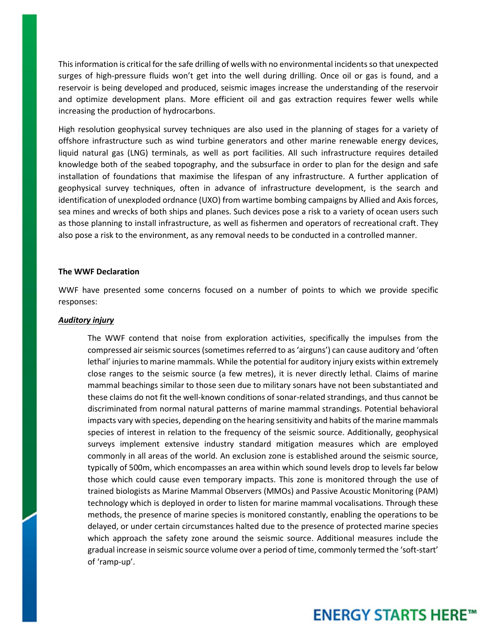This information is critical for the safe drilling of wells with no environmental incidents so that unexpected surges of high-pressure fluids won't get into the well during drilling. Once oil or gas is found, and a reservoir is being developed and produced, seismic images increase the understanding of the reservoir and optimize development plans. More efficient oil and gas extraction requires fewer wells while increasing the production of hydrocarbons.

High resolution geophysical survey techniques are also used in the planning of stages for a variety of offshore infrastructure such as wind turbine generators and other marine renewable energy devices, liquid natural gas (LNG) terminals, as well as port facilities. All such infrastructure requires detailed knowledge both of the seabed topography, and the subsurface in order to plan for the design and safe installation of foundations that maximise the lifespan of any infrastructure. A further application of geophysical survey techniques, often in advance of infrastructure development, is the search and identification of unexploded ordnance (UXO) from wartime bombing campaigns by Allied and Axis forces, sea mines and wrecks of both ships and planes. Such devices pose a risk to a variety of ocean users such as those planning to install infrastructure, as well as fishermen and operators of recreational craft. They also pose a risk to the environment, as any removal needs to be conducted in a controlled manner.

#### **The WWF Declaration**

WWF have presented some concerns focused on a number of points to which we provide specific responses:

#### *Auditory injury*

The WWF contend that noise from exploration activities, specifically the impulses from the compressed air seismic sources (sometimes referred to as 'airguns') can cause auditory and 'often lethal' injuries to marine mammals. While the potential for auditory injury exists within extremely close ranges to the seismic source (a few metres), it is never directly lethal. Claims of marine mammal beachings similar to those seen due to military sonars have not been substantiated and these claims do not fit the well-known conditions of sonar-related strandings, and thus cannot be discriminated from normal natural patterns of marine mammal strandings. Potential behavioral impacts vary with species, depending on the hearing sensitivity and habits of the marine mammals species of interest in relation to the frequency of the seismic source. Additionally, geophysical surveys implement extensive industry standard mitigation measures which are employed commonly in all areas of the world. An exclusion zone is established around the seismic source, typically of 500m, which encompasses an area within which sound levels drop to levels far below those which could cause even temporary impacts. This zone is monitored through the use of trained biologists as Marine Mammal Observers (MMOs) and Passive Acoustic Monitoring (PAM) technology which is deployed in order to listen for marine mammal vocalisations. Through these methods, the presence of marine species is monitored constantly, enabling the operations to be delayed, or under certain circumstances halted due to the presence of protected marine species which approach the safety zone around the seismic source. Additional measures include the gradual increase in seismic source volume over a period of time, commonly termed the 'soft-start' of 'ramp-up'.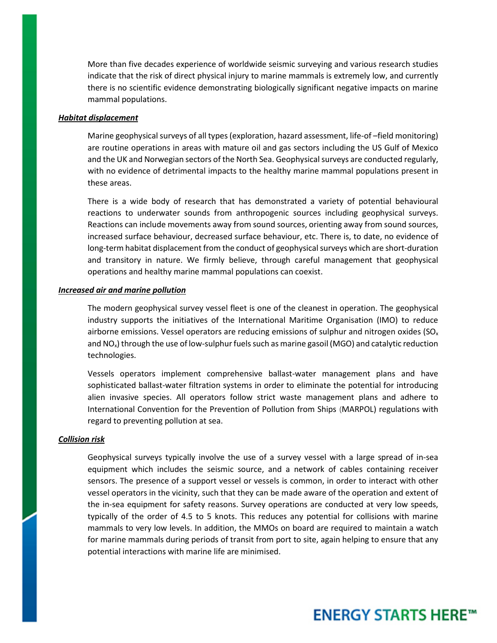More than five decades experience of worldwide seismic surveying and various research studies indicate that the risk of direct physical injury to marine mammals is extremely low, and currently there is no scientific evidence demonstrating biologically significant negative impacts on marine mammal populations.

### *Habitat displacement*

Marine geophysical surveys of all types (exploration, hazard assessment, life-of –field monitoring) are routine operations in areas with mature oil and gas sectors including the US Gulf of Mexico and the UK and Norwegian sectors of the North Sea. Geophysical surveys are conducted regularly, with no evidence of detrimental impacts to the healthy marine mammal populations present in these areas.

There is a wide body of research that has demonstrated a variety of potential behavioural reactions to underwater sounds from anthropogenic sources including geophysical surveys. Reactions can include movements away from sound sources, orienting away from sound sources, increased surface behaviour, decreased surface behaviour, etc. There is, to date, no evidence of long-term habitat displacement from the conduct of geophysical surveys which are short-duration and transitory in nature. We firmly believe, through careful management that geophysical operations and healthy marine mammal populations can coexist.

#### *Increased air and marine pollution*

The modern geophysical survey vessel fleet is one of the cleanest in operation. The geophysical industry supports the initiatives of the International Maritime Organisation (IMO) to reduce airborne emissions. Vessel operators are reducing emissions of sulphur and nitrogen oxides ( $SO<sub>x</sub>$ and NO<sub>x</sub>) through the use of low-sulphur fuels such as marine gasoil (MGO) and catalytic reduction technologies.

Vessels operators implement comprehensive ballast-water management plans and have sophisticated ballast-water filtration systems in order to eliminate the potential for introducing alien invasive species. All operators follow strict waste management plans and adhere to International Convention for the Prevention of Pollution from Ships (MARPOL) regulations with regard to preventing pollution at sea.

#### *Collision risk*

Geophysical surveys typically involve the use of a survey vessel with a large spread of in-sea equipment which includes the seismic source, and a network of cables containing receiver sensors. The presence of a support vessel or vessels is common, in order to interact with other vessel operators in the vicinity, such that they can be made aware of the operation and extent of the in-sea equipment for safety reasons. Survey operations are conducted at very low speeds, typically of the order of 4.5 to 5 knots. This reduces any potential for collisions with marine mammals to very low levels. In addition, the MMOs on board are required to maintain a watch for marine mammals during periods of transit from port to site, again helping to ensure that any potential interactions with marine life are minimised.